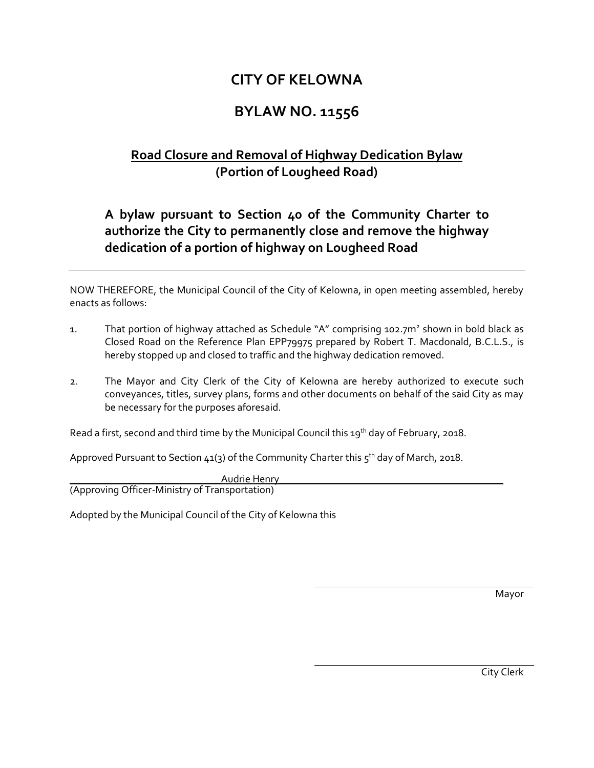## **CITY OF KELOWNA**

## **BYLAW NO. 11556**

## **Road Closure and Removal of Highway Dedication Bylaw (Portion of Lougheed Road)**

## **A bylaw pursuant to Section 40 of the Community Charter to authorize the City to permanently close and remove the highway dedication of a portion of highway on Lougheed Road**

NOW THEREFORE, the Municipal Council of the City of Kelowna, in open meeting assembled, hereby enacts as follows:

- 1. That portion of highway attached as Schedule "A" comprising 102.7m<sup>2</sup> shown in bold black as Closed Road on the Reference Plan EPP79975 prepared by Robert T. Macdonald, B.C.L.S., is hereby stopped up and closed to traffic and the highway dedication removed.
- 2. The Mayor and City Clerk of the City of Kelowna are hereby authorized to execute such conveyances, titles, survey plans, forms and other documents on behalf of the said City as may be necessary for the purposes aforesaid.

Read a first, second and third time by the Municipal Council this 19<sup>th</sup> day of February, 2018.

Approved Pursuant to Section 41(3) of the Community Charter this 5<sup>th</sup> day of March, 2018.

\_\_\_\_\_\_\_\_\_\_\_\_\_\_\_\_\_\_\_\_\_\_\_\_\_\_\_\_\_Audrie Henry\_\_\_\_\_\_\_\_\_\_\_\_\_\_\_\_\_\_\_\_\_\_\_\_\_\_\_\_\_\_\_\_\_\_\_\_\_\_\_\_\_\_\_ (Approving Officer-Ministry of Transportation)

Adopted by the Municipal Council of the City of Kelowna this

Mayor

City Clerk